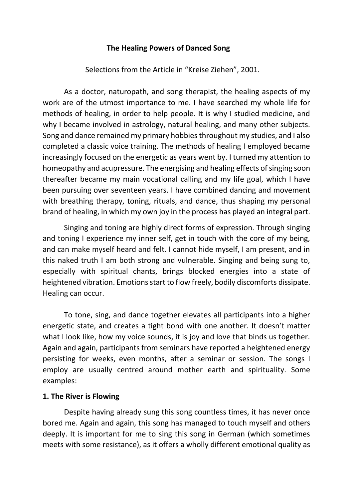#### **The Healing Powers of Danced Song**

Selections from the Article in "Kreise Ziehen", 2001.

As a doctor, naturopath, and song therapist, the healing aspects of my work are of the utmost importance to me. I have searched my whole life for methods of healing, in order to help people. It is why I studied medicine, and why I became involved in astrology, natural healing, and many other subjects. Song and dance remained my primary hobbies throughout my studies, and I also completed a classic voice training. The methods of healing I employed became increasingly focused on the energetic as years went by. I turned my attention to homeopathy and acupressure. The energising and healing effects of singing soon thereafter became my main vocational calling and my life goal, which I have been pursuing over seventeen years. I have combined dancing and movement with breathing therapy, toning, rituals, and dance, thus shaping my personal brand of healing, in which my own joy in the process has played an integral part.

Singing and toning are highly direct forms of expression. Through singing and toning I experience my inner self, get in touch with the core of my being, and can make myself heard and felt. I cannot hide myself, I am present, and in this naked truth I am both strong and vulnerable. Singing and being sung to, especially with spiritual chants, brings blocked energies into a state of heightened vibration. Emotions start to flow freely, bodily discomforts dissipate. Healing can occur.

To tone, sing, and dance together elevates all participants into a higher energetic state, and creates a tight bond with one another. It doesn't matter what I look like, how my voice sounds, it is joy and love that binds us together. Again and again, participants from seminars have reported a heightened energy persisting for weeks, even months, after a seminar or session. The songs I employ are usually centred around mother earth and spirituality. Some examples:

#### **1. The River is Flowing**

Despite having already sung this song countless times, it has never once bored me. Again and again, this song has managed to touch myself and others deeply. It is important for me to sing this song in German (which sometimes meets with some resistance), as it offers a wholly different emotional quality as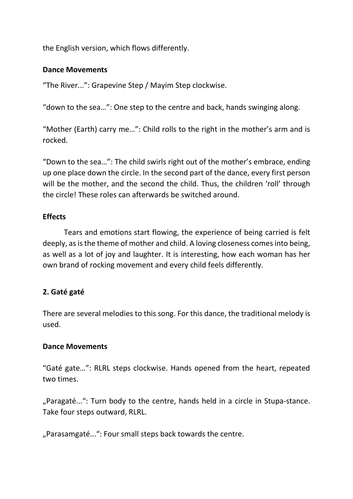the English version, which flows differently.

### **Dance Movements**

"The River...": Grapevine Step / Mayim Step clockwise.

"down to the sea…": One step to the centre and back, hands swinging along.

"Mother (Earth) carry me…": Child rolls to the right in the mother's arm and is rocked.

"Down to the sea…": The child swirls right out of the mother's embrace, ending up one place down the circle. In the second part of the dance, every first person will be the mother, and the second the child. Thus, the children 'roll' through the circle! These roles can afterwards be switched around.

# **Effects**

Tears and emotions start flowing, the experience of being carried is felt deeply, as is the theme of mother and child. A loving closeness comes into being, as well as a lot of joy and laughter. It is interesting, how each woman has her own brand of rocking movement and every child feels differently.

# **2. Gaté gaté**

There are several melodies to this song. For this dance, the traditional melody is used.

# **Dance Movements**

"Gaté gate…": RLRL steps clockwise. Hands opened from the heart, repeated two times.

"Paragaté...": Turn body to the centre, hands held in a circle in Stupa-stance. Take four steps outward, RLRL.

"Parasamgaté...": Four small steps back towards the centre.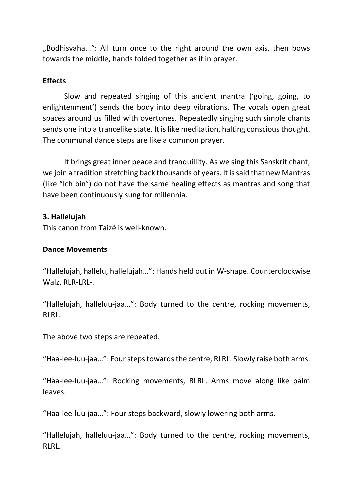"Bodhisvaha...": All turn once to the right around the own axis, then bows towards the middle, hands folded together as if in prayer.

#### **Effects**

Slow and repeated singing of this ancient mantra ('going, going, to enlightenment') sends the body into deep vibrations. The vocals open great spaces around us filled with overtones. Repeatedly singing such simple chants sends one into a trancelike state. It is like meditation, halting conscious thought. The communal dance steps are like a common prayer.

It brings great inner peace and tranquillity. As we sing this Sanskrit chant, we join a tradition stretching back thousands of years. It is said that new Mantras (like "Ich bin") do not have the same healing effects as mantras and song that have been continuously sung for millennia.

## **3. Hallelujah**

This canon from Taizé is well-known.

# **Dance Movements**

"Hallelujah, hallelu, hallelujah…": Hands held out in W-shape. Counterclockwise Walz, RLR-LRL-.

"Hallelujah, halleluu-jaa…": Body turned to the centre, rocking movements, RLRL.

The above two steps are repeated.

"Haa-lee-luu-jaa…": Four steps towards the centre, RLRL. Slowly raise both arms.

"Haa-lee-luu-jaa…": Rocking movements, RLRL. Arms move along like palm leaves.

"Haa-lee-luu-jaa…": Four steps backward, slowly lowering both arms.

"Hallelujah, halleluu-jaa…": Body turned to the centre, rocking movements, RLRL.